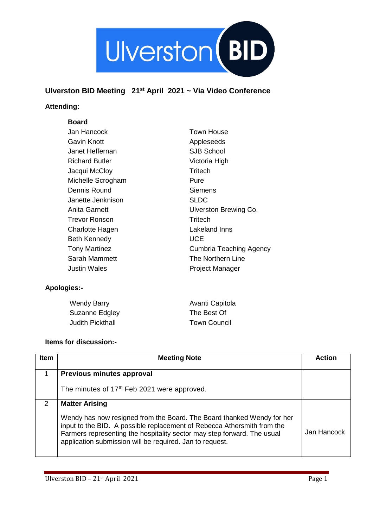

# **Ulverston BID Meeting 21st April 2021 ~ Via Video Conference**

## **Attending:**

#### **Board**

| Jan Hancock           | <b>Town House</b>              |
|-----------------------|--------------------------------|
| Gavin Knott           | Appleseeds                     |
| Janet Heffernan       | <b>SJB School</b>              |
| <b>Richard Butler</b> | Victoria High                  |
| Jacqui McCloy         | Tritech                        |
| Michelle Scrogham     | Pure                           |
| Dennis Round          | Siemens                        |
| Janette Jenknison     | <b>SLDC</b>                    |
| Anita Garnett         | Ulverston Brewing Co.          |
| Trevor Ronson         | Tritech                        |
| Charlotte Hagen       | Lakeland Inns                  |
| <b>Beth Kennedy</b>   | UCE                            |
| <b>Tony Martinez</b>  | <b>Cumbria Teaching Agency</b> |
| Sarah Mammett         | The Northern Line              |
| Justin Wales          | Project Manager                |
|                       |                                |

#### **Apologies:-**

| <b>Wendy Barry</b>      | Avanti Capitola     |
|-------------------------|---------------------|
| Suzanne Edgley          | The Best Of         |
| <b>Judith Pickthall</b> | <b>Town Council</b> |

### **Items for discussion:-**

| <b>Item</b> | <b>Meeting Note</b>                                                                                                                                                                                                                                                                      | Action      |
|-------------|------------------------------------------------------------------------------------------------------------------------------------------------------------------------------------------------------------------------------------------------------------------------------------------|-------------|
| 1           | Previous minutes approval                                                                                                                                                                                                                                                                |             |
|             | The minutes of 17 <sup>th</sup> Feb 2021 were approved.                                                                                                                                                                                                                                  |             |
| 2           | <b>Matter Arising</b>                                                                                                                                                                                                                                                                    |             |
|             | Wendy has now resigned from the Board. The Board thanked Wendy for her<br>input to the BID. A possible replacement of Rebecca Athersmith from the<br>Farmers representing the hospitality sector may step forward. The usual<br>application submission will be required. Jan to request. | Jan Hancock |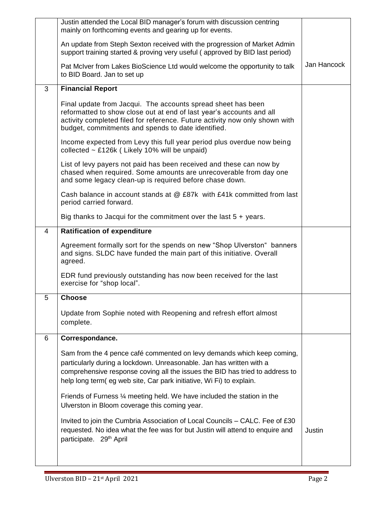|                | Justin attended the Local BID manager's forum with discussion centring<br>mainly on forthcoming events and gearing up for events.                                                                                                                                                                     |             |
|----------------|-------------------------------------------------------------------------------------------------------------------------------------------------------------------------------------------------------------------------------------------------------------------------------------------------------|-------------|
|                | An update from Steph Sexton received with the progression of Market Admin<br>support training started & proving very useful (approved by BID last period)                                                                                                                                             |             |
|                | Pat McIver from Lakes BioScience Ltd would welcome the opportunity to talk<br>to BID Board. Jan to set up                                                                                                                                                                                             | Jan Hancock |
| 3              | <b>Financial Report</b>                                                                                                                                                                                                                                                                               |             |
|                | Final update from Jacqui. The accounts spread sheet has been<br>reformatted to show close out at end of last year's accounts and all<br>activity completed filed for reference. Future activity now only shown with<br>budget, commitments and spends to date identified.                             |             |
|                | Income expected from Levy this full year period plus overdue now being<br>collected $\sim$ £126k (Likely 10% will be unpaid)                                                                                                                                                                          |             |
|                | List of levy payers not paid has been received and these can now by<br>chased when required. Some amounts are unrecoverable from day one<br>and some legacy clean-up is required before chase down.                                                                                                   |             |
|                | Cash balance in account stands at @ £87k with £41k committed from last<br>period carried forward.                                                                                                                                                                                                     |             |
|                | Big thanks to Jacqui for the commitment over the last $5 + \gamma$ years.                                                                                                                                                                                                                             |             |
| $\overline{4}$ | <b>Ratification of expenditure</b>                                                                                                                                                                                                                                                                    |             |
|                | Agreement formally sort for the spends on new "Shop Ulverston" banners<br>and signs. SLDC have funded the main part of this initiative. Overall<br>agreed.                                                                                                                                            |             |
|                | EDR fund previously outstanding has now been received for the last<br>exercise for "shop local".                                                                                                                                                                                                      |             |
| 5              | <b>Choose</b>                                                                                                                                                                                                                                                                                         |             |
|                | Update from Sophie noted with Reopening and refresh effort almost<br>complete.                                                                                                                                                                                                                        |             |
| 6              | Correspondance.                                                                                                                                                                                                                                                                                       |             |
|                | Sam from the 4 pence café commented on levy demands which keep coming,<br>particularly during a lockdown. Unreasonable. Jan has written with a<br>comprehensive response coving all the issues the BID has tried to address to<br>help long term(eg web site, Car park initiative, Wi Fi) to explain. |             |
|                | Friends of Furness 1/4 meeting held. We have included the station in the<br>Ulverston in Bloom coverage this coming year.                                                                                                                                                                             |             |
|                | Invited to join the Cumbria Association of Local Councils – CALC. Fee of £30<br>requested. No idea what the fee was for but Justin will attend to enquire and<br>participate. 29 <sup>th</sup> April                                                                                                  | Justin      |
|                |                                                                                                                                                                                                                                                                                                       |             |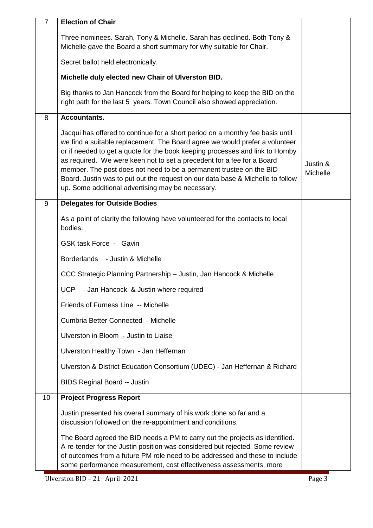| $\overline{7}$ | <b>Election of Chair</b>                                                                                                                                                                                                                                                                                                                                                                                                                                                                                                               |                      |
|----------------|----------------------------------------------------------------------------------------------------------------------------------------------------------------------------------------------------------------------------------------------------------------------------------------------------------------------------------------------------------------------------------------------------------------------------------------------------------------------------------------------------------------------------------------|----------------------|
|                | Three nominees. Sarah, Tony & Michelle. Sarah has declined. Both Tony &<br>Michelle gave the Board a short summary for why suitable for Chair.                                                                                                                                                                                                                                                                                                                                                                                         |                      |
|                | Secret ballot held electronically.                                                                                                                                                                                                                                                                                                                                                                                                                                                                                                     |                      |
|                | Michelle duly elected new Chair of Ulverston BID.                                                                                                                                                                                                                                                                                                                                                                                                                                                                                      |                      |
|                | Big thanks to Jan Hancock from the Board for helping to keep the BID on the<br>right path for the last 5 years. Town Council also showed appreciation.                                                                                                                                                                                                                                                                                                                                                                                 |                      |
| 8              | <b>Accountants.</b>                                                                                                                                                                                                                                                                                                                                                                                                                                                                                                                    |                      |
|                | Jacqui has offered to continue for a short period on a monthly fee basis until<br>we find a suitable replacement. The Board agree we would prefer a volunteer<br>or if needed to get a quote for the book keeping processes and link to Hornby<br>as required. We were keen not to set a precedent for a fee for a Board<br>member. The post does not need to be a permanent trustee on the BID<br>Board. Justin was to put out the request on our data base & Michelle to follow<br>up. Some additional advertising may be necessary. | Justin &<br>Michelle |
| 9              | <b>Delegates for Outside Bodies</b>                                                                                                                                                                                                                                                                                                                                                                                                                                                                                                    |                      |
|                | As a point of clarity the following have volunteered for the contacts to local<br>bodies.                                                                                                                                                                                                                                                                                                                                                                                                                                              |                      |
|                | GSK task Force - Gavin                                                                                                                                                                                                                                                                                                                                                                                                                                                                                                                 |                      |
|                | Borderlands - Justin & Michelle                                                                                                                                                                                                                                                                                                                                                                                                                                                                                                        |                      |
|                | CCC Strategic Planning Partnership - Justin, Jan Hancock & Michelle                                                                                                                                                                                                                                                                                                                                                                                                                                                                    |                      |
|                | UCP - Jan Hancock & Justin where required                                                                                                                                                                                                                                                                                                                                                                                                                                                                                              |                      |
|                | Friends of Furness Line -- Michelle                                                                                                                                                                                                                                                                                                                                                                                                                                                                                                    |                      |
|                | Cumbria Better Connected - Michelle                                                                                                                                                                                                                                                                                                                                                                                                                                                                                                    |                      |
|                | Ulverston in Bloom - Justin to Liaise                                                                                                                                                                                                                                                                                                                                                                                                                                                                                                  |                      |
|                | Ulverston Healthy Town - Jan Heffernan                                                                                                                                                                                                                                                                                                                                                                                                                                                                                                 |                      |
|                | Ulverston & District Education Consortium (UDEC) - Jan Heffernan & Richard                                                                                                                                                                                                                                                                                                                                                                                                                                                             |                      |
|                | <b>BIDS Reginal Board -- Justin</b>                                                                                                                                                                                                                                                                                                                                                                                                                                                                                                    |                      |
| 10             | <b>Project Progress Report</b>                                                                                                                                                                                                                                                                                                                                                                                                                                                                                                         |                      |
|                | Justin presented his overall summary of his work done so far and a<br>discussion followed on the re-appointment and conditions.                                                                                                                                                                                                                                                                                                                                                                                                        |                      |
|                | The Board agreed the BID needs a PM to carry out the projects as identified.<br>A re-tender for the Justin position was considered but rejected. Some review<br>of outcomes from a future PM role need to be addressed and these to include<br>some performance measurement, cost effectiveness assessments, more                                                                                                                                                                                                                      |                      |

Ulverston BID – 21st April 2021 Page 3